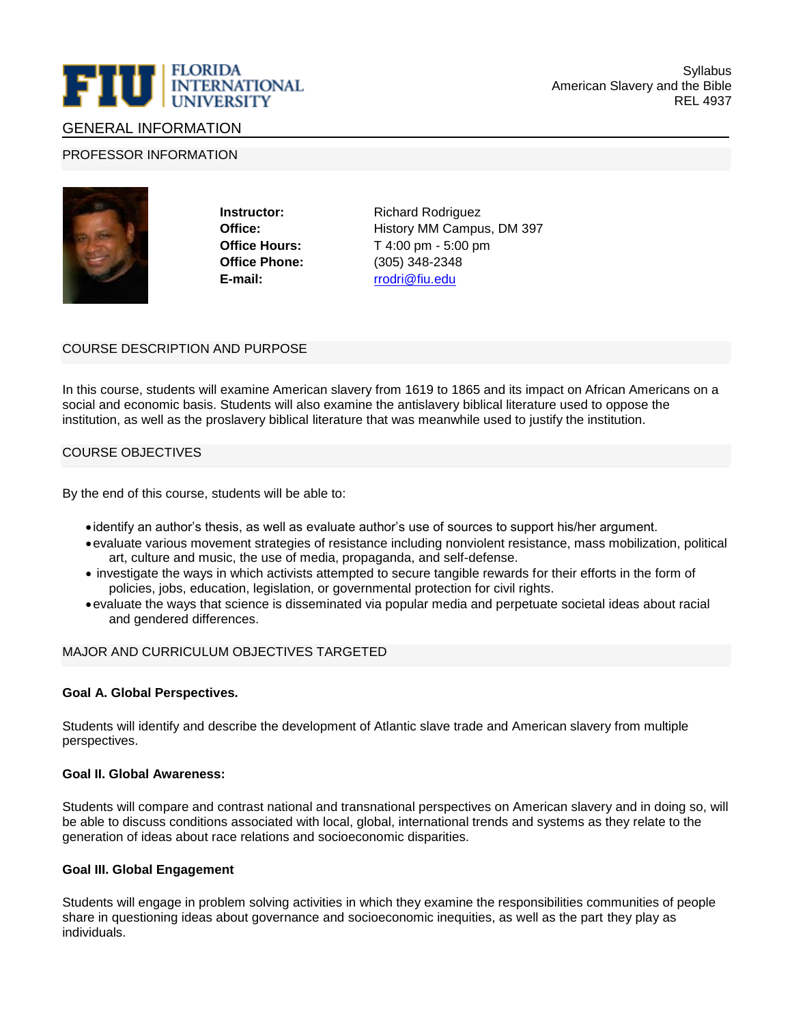

# GENERAL INFORMATION

### PROFESSOR INFORMATION



**Office Phone:** (305) 348-2348 **E-mail:** [rrodri@fiu.edu](mailto:rrodri@fiu.edu)

**Instructor:** Richard Rodriguez **Office:** History MM Campus, DM 397 **Office Hours:** T 4:00 pm - 5:00 pm

# COURSE DESCRIPTION AND PURPOSE

In this course, students will examine American slavery from 1619 to 1865 and its impact on African Americans on a social and economic basis. Students will also examine the antislavery biblical literature used to oppose the institution, as well as the proslavery biblical literature that was meanwhile used to justify the institution.

## COURSE OBJECTIVES

By the end of this course, students will be able to:

- identify an author's thesis, as well as evaluate author's use of sources to support his/her argument.
- •evaluate various movement strategies of resistance including nonviolent resistance, mass mobilization, political art, culture and music, the use of media, propaganda, and self-defense.
- investigate the ways in which activists attempted to secure tangible rewards for their efforts in the form of policies, jobs, education, legislation, or governmental protection for civil rights.
- •evaluate the ways that science is disseminated via popular media and perpetuate societal ideas about racial and gendered differences.

#### MAJOR AND CURRICULUM OBJECTIVES TARGETED

#### **Goal A. Global Perspectives.**

Students will identify and describe the development of Atlantic slave trade and American slavery from multiple perspectives.

#### **Goal II. Global Awareness:**

Students will compare and contrast national and transnational perspectives on American slavery and in doing so, will be able to discuss conditions associated with local, global, international trends and systems as they relate to the generation of ideas about race relations and socioeconomic disparities.

#### **Goal III. Global Engagement**

Students will engage in problem solving activities in which they examine the responsibilities communities of people share in questioning ideas about governance and socioeconomic inequities, as well as the part they play as individuals.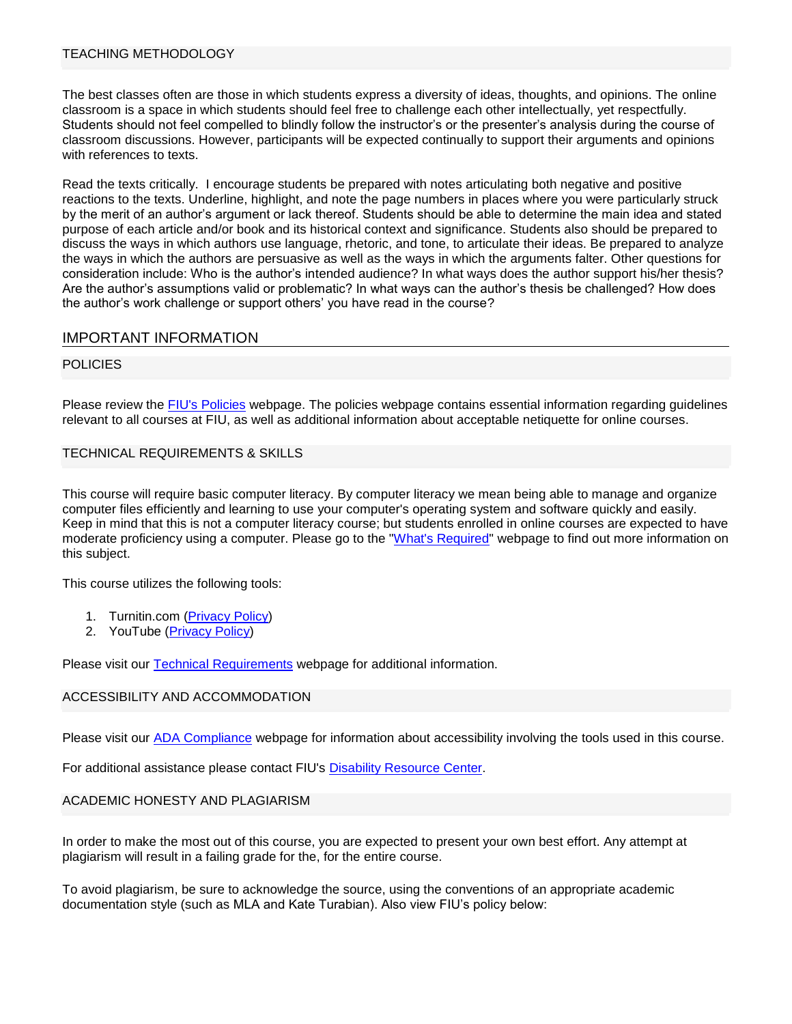## TEACHING METHODOLOGY

The best classes often are those in which students express a diversity of ideas, thoughts, and opinions. The online classroom is a space in which students should feel free to challenge each other intellectually, yet respectfully. Students should not feel compelled to blindly follow the instructor's or the presenter's analysis during the course of classroom discussions. However, participants will be expected continually to support their arguments and opinions with references to texts.

Read the texts critically. I encourage students be prepared with notes articulating both negative and positive reactions to the texts. Underline, highlight, and note the page numbers in places where you were particularly struck by the merit of an author's argument or lack thereof. Students should be able to determine the main idea and stated purpose of each article and/or book and its historical context and significance. Students also should be prepared to discuss the ways in which authors use language, rhetoric, and tone, to articulate their ideas. Be prepared to analyze the ways in which the authors are persuasive as well as the ways in which the arguments falter. Other questions for consideration include: Who is the author's intended audience? In what ways does the author support his/her thesis? Are the author's assumptions valid or problematic? In what ways can the author's thesis be challenged? How does the author's work challenge or support others' you have read in the course?

# IMPORTANT INFORMATION

## POLICIES

Please review the [FIU's Policies](http://online.fiu.edu/app/webroot/html/blackboardlearn/policies/) webpage. The policies webpage contains essential information regarding guidelines relevant to all courses at FIU, as well as additional information about acceptable netiquette for online courses.

#### TECHNICAL REQUIREMENTS & SKILLS

This course will require basic computer literacy. By computer literacy we mean being able to manage and organize computer files efficiently and learning to use your computer's operating system and software quickly and easily. Keep in mind that this is not a computer literacy course; but students enrolled in online courses are expected to have moderate proficiency using a computer. Please go to the ["What's Required"](http://online.fiu.edu/futurestudents/whatsrequired) webpage to find out more information on this subject.

This course utilizes the following tools:

- 1. Turnitin.com [\(Privacy Policy\)](http://turnitin.com/en_us/about-us/privacy)
- 2. YouTube [\(Privacy Policy\)](https://www.youtube.com/static?template=privacy_guidelines)

Please visit our [Technical Requirements](http://online.fiu.edu/app/webroot/html/blackboardlearn/mastertemplate/technical_requirements/) webpage for additional information.

# ACCESSIBILITY AND ACCOMMODATION

Please visit our [ADA Compliance](http://online.fiu.edu/app/webroot/html/blackboardlearn/mastertemplate/accessibility/) webpage for information about accessibility involving the tools used in this course.

For additional assistance please contact FIU's [Disability Resource Center.](http://drc.fiu.edu/)

#### ACADEMIC HONESTY AND PLAGIARISM

In order to make the most out of this course, you are expected to present your own best effort. Any attempt at plagiarism will result in a failing grade for the, for the entire course.

To avoid plagiarism, be sure to acknowledge the source, using the conventions of an appropriate academic documentation style (such as MLA and Kate Turabian). Also view FIU's policy below: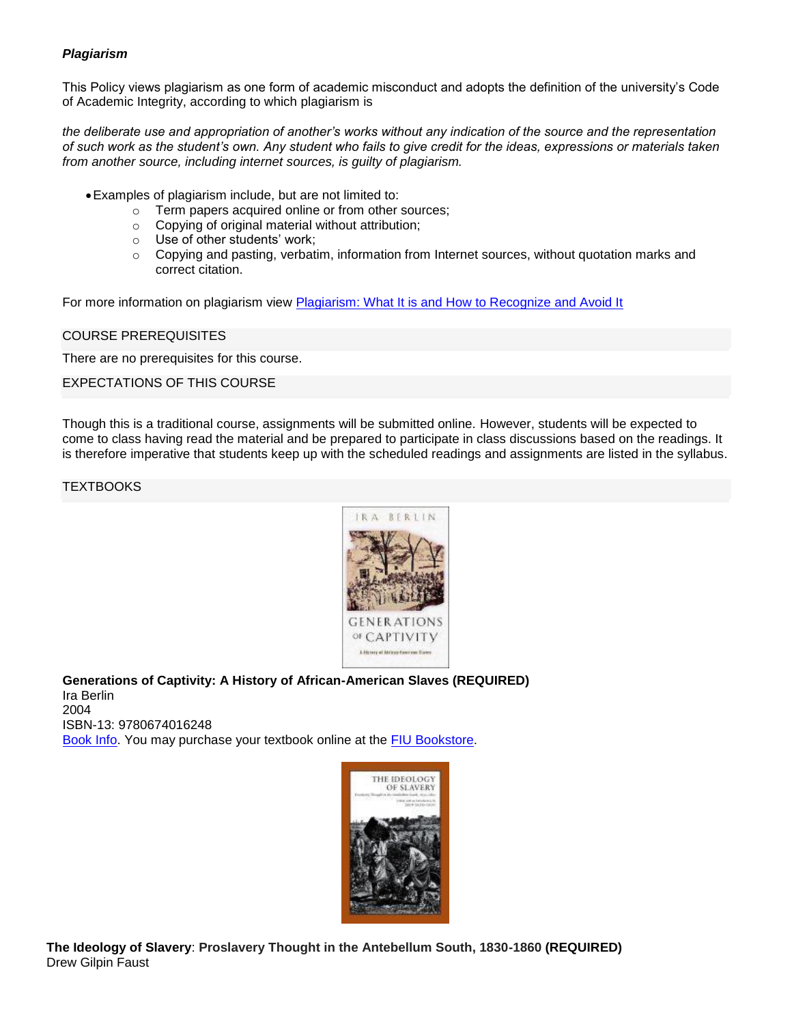# *Plagiarism*

This Policy views plagiarism as one form of academic misconduct and adopts the definition of the university's Code of Academic Integrity, according to which plagiarism is

*the deliberate use and appropriation of another's works without any indication of the source and the representation of such work as the student's own. Any student who fails to give credit for the ideas, expressions or materials taken from another source, including internet sources, is guilty of plagiarism.*

- •Examples of plagiarism include, but are not limited to:
	- o Term papers acquired online or from other sources;
	- o Copying of original material without attribution;
	- o Use of other students' work;
	- $\circ$  Copying and pasting, verbatim, information from Internet sources, without quotation marks and correct citation.

For more information on plagiarism view [Plagiarism: What It is and How to Recognize and Avoid It](http://www.indiana.edu/~wts/pamphlets/plagiarism.shtml)

## COURSE PREREQUISITES

There are no prerequisites for this course.

EXPECTATIONS OF THIS COURSE

Though this is a traditional course, assignments will be submitted online. However, students will be expected to come to class having read the material and be prepared to participate in class discussions based on the readings. It is therefore imperative that students keep up with the scheduled readings and assignments are listed in the syllabus.

**TEXTBOOKS** 



**Generations of Captivity: A History of African-American Slaves (REQUIRED)** Ira Berlin 2004 ISBN-13: 9780674016248 [Book Info.](http://www.amazon.com/At-Dark-End-Street-Resistance-/dp/0307389243%3FSubscriptionId%3DAKIAJZE6PMOZFG2TYDYQ%26tag%3DOMGWTFBBQ%26linkCode%3Dxm2%26camp%3D2025%26creative%3D165953%26creativeASIN%3D0307389243) You may purchase your textbook online at the [FIU Bookstore.](http://fiu.bncollege.com/webapp/wcs/stores/servlet/BNCBHomePage?storeId=21551&catalogId=10001)



**The Ideology of Slavery**: **Proslavery Thought in the Antebellum South, 1830-1860 (REQUIRED)** Drew Gilpin Faust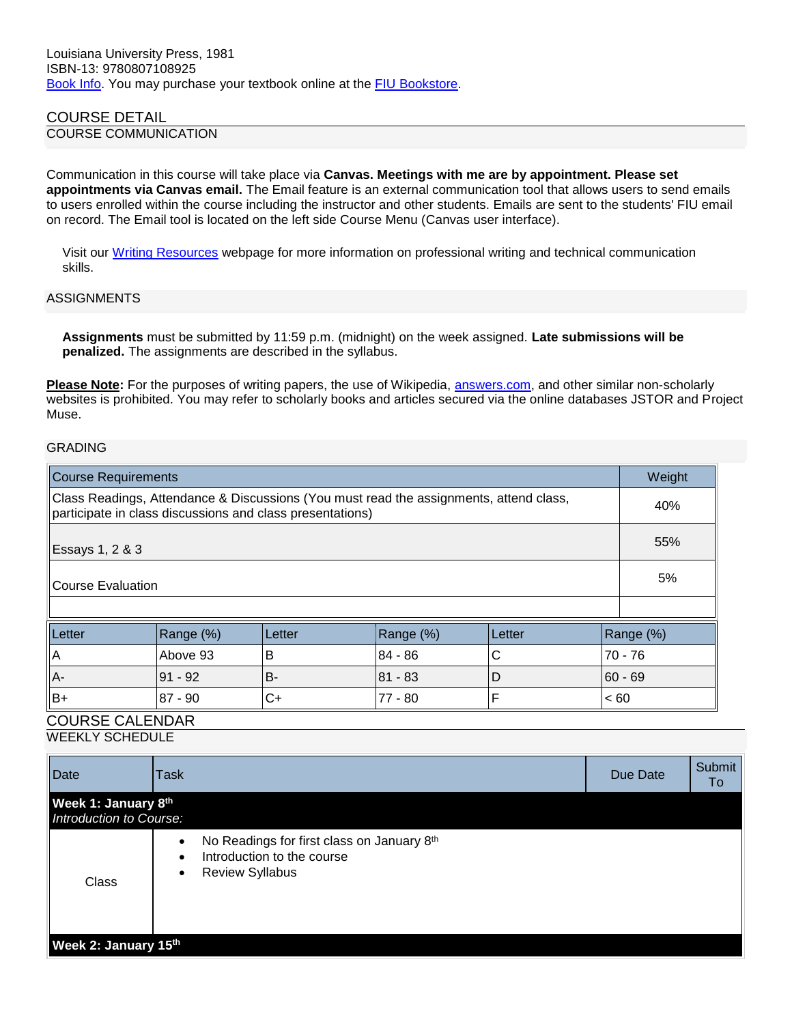# COURSE DETAIL

COURSE COMMUNICATION

Communication in this course will take place via **Canvas. Meetings with me are by appointment. Please set appointments via Canvas email.** The Email feature is an external communication tool that allows users to send emails to users enrolled within the course including the instructor and other students. Emails are sent to the students' FIU email on record. The Email tool is located on the left side Course Menu (Canvas user interface).

Visit our [Writing Resources](http://online.fiu.edu/app/webroot/html/blackboardlearn/resources/writing_resources/) webpage for more information on professional writing and technical communication skills.

### ASSIGNMENTS

**Assignments** must be submitted by 11:59 p.m. (midnight) on the week assigned. **Late submissions will be penalized.** The assignments are described in the syllabus.

**Please Note:** For the purposes of writing papers, the use of Wikipedia, [answers.com,](https://fiumail.fiu.edu/owa/redir.aspx?C=6241517f54a348c6a418e30d4ae5ef38&URL=http%3a%2f%2fanswers.com%2f) and other similar non-scholarly websites is prohibited. You may refer to scholarly books and articles secured via the online databases JSTOR and Project Muse.

## GRADING

| <b>Course Requirements</b>                                                                                                                          |           |           |           |        | Weight    |
|-----------------------------------------------------------------------------------------------------------------------------------------------------|-----------|-----------|-----------|--------|-----------|
| Class Readings, Attendance & Discussions (You must read the assignments, attend class,<br>participate in class discussions and class presentations) |           |           |           |        | 40%       |
| Essays 1, 2 & 3                                                                                                                                     |           |           |           |        | 55%       |
| Course Evaluation                                                                                                                                   |           |           |           |        | 5%        |
|                                                                                                                                                     |           |           |           |        |           |
| Letter                                                                                                                                              | Range (%) | l Letter  | Range (%) | Letter | Range (%) |
| $\overline{A}$                                                                                                                                      | Above 93  | B         | $84 - 86$ | С      | $70 - 76$ |
| $A -$                                                                                                                                               | $91 - 92$ | <b>B-</b> | 81 - 83   | D      | $60 - 69$ |
| $B+$                                                                                                                                                | 87 - 90   | $C+$      | 77 - 80   | F      | ~< 60     |

# COURSE CALENDAR

WEEKLY SCHEDULE

| Date                                           | <b>Task</b>                                                                                                                               | Due Date | Submit<br>To |
|------------------------------------------------|-------------------------------------------------------------------------------------------------------------------------------------------|----------|--------------|
| Week 1: January 8th<br>Introduction to Course: |                                                                                                                                           |          |              |
| Class                                          | No Readings for first class on January 8th<br>$\bullet$<br>Introduction to the course<br>$\bullet$<br><b>Review Syllabus</b><br>$\bullet$ |          |              |
| Week 2: January 15th                           |                                                                                                                                           |          |              |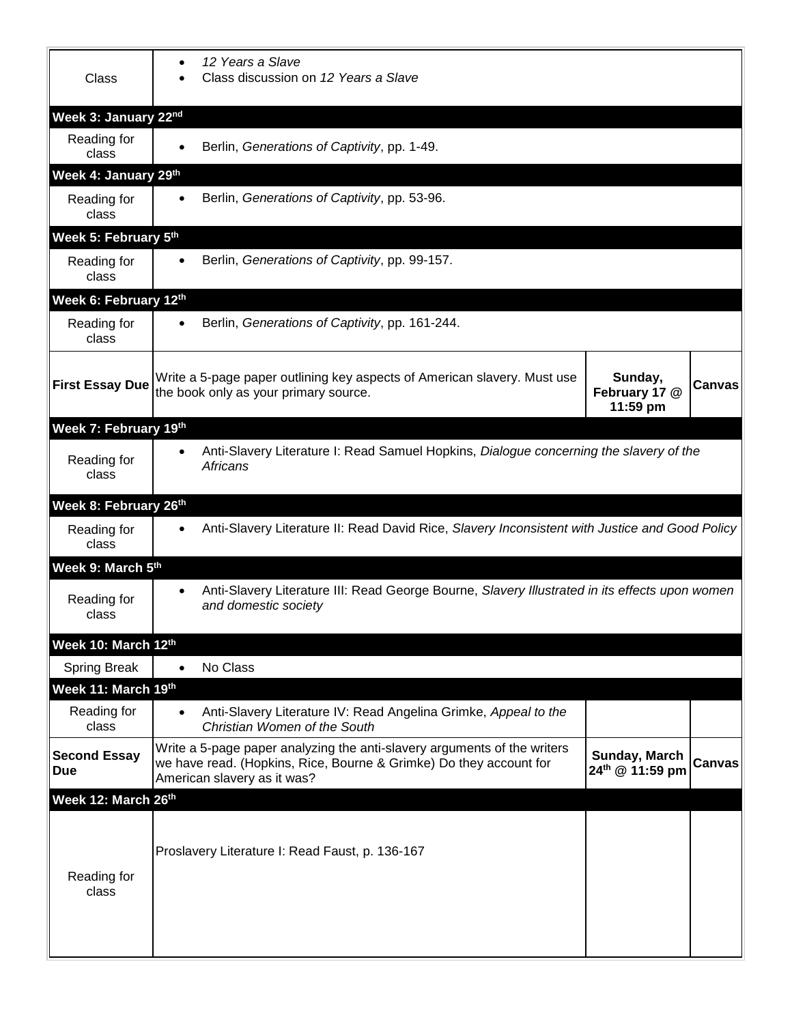| <b>Class</b>                      | 12 Years a Slave<br>$\bullet$<br>Class discussion on 12 Years a Slave                                                                                                         |                                      |               |  |  |  |
|-----------------------------------|-------------------------------------------------------------------------------------------------------------------------------------------------------------------------------|--------------------------------------|---------------|--|--|--|
| Week 3: January 22nd              |                                                                                                                                                                               |                                      |               |  |  |  |
| Reading for<br>class              | Berlin, Generations of Captivity, pp. 1-49.<br>$\bullet$                                                                                                                      |                                      |               |  |  |  |
| Week 4: January 29th              |                                                                                                                                                                               |                                      |               |  |  |  |
| Reading for<br>class              | Berlin, Generations of Captivity, pp. 53-96.<br>$\bullet$                                                                                                                     |                                      |               |  |  |  |
| Week 5: February 5th              |                                                                                                                                                                               |                                      |               |  |  |  |
| Reading for<br>class              | Berlin, Generations of Captivity, pp. 99-157.<br>$\bullet$                                                                                                                    |                                      |               |  |  |  |
| Week 6: February 12th             |                                                                                                                                                                               |                                      |               |  |  |  |
| Reading for<br>class              | Berlin, Generations of Captivity, pp. 161-244.<br>$\bullet$                                                                                                                   |                                      |               |  |  |  |
| <b>First Essay Due</b>            | Write a 5-page paper outlining key aspects of American slavery. Must use<br>the book only as your primary source.                                                             | Sunday,<br>February 17 @<br>11:59 pm | Canvas        |  |  |  |
| Week 7: February 19th             |                                                                                                                                                                               |                                      |               |  |  |  |
| Reading for<br>class              | Anti-Slavery Literature I: Read Samuel Hopkins, Dialogue concerning the slavery of the<br>$\bullet$<br><b>Africans</b>                                                        |                                      |               |  |  |  |
| Week 8: February 26th             |                                                                                                                                                                               |                                      |               |  |  |  |
| Reading for<br>class              | Anti-Slavery Literature II: Read David Rice, Slavery Inconsistent with Justice and Good Policy<br>٠                                                                           |                                      |               |  |  |  |
| Week 9: March 5th                 |                                                                                                                                                                               |                                      |               |  |  |  |
| Reading for<br>class              | Anti-Slavery Literature III: Read George Bourne, Slavery Illustrated in its effects upon women<br>$\bullet$<br>and domestic society                                           |                                      |               |  |  |  |
| Week 10: March 12th               |                                                                                                                                                                               |                                      |               |  |  |  |
| <b>Spring Break</b>               | No Class<br>$\bullet$                                                                                                                                                         |                                      |               |  |  |  |
| Week 11: March 19th               |                                                                                                                                                                               |                                      |               |  |  |  |
| Reading for<br>class              | Anti-Slavery Literature IV: Read Angelina Grimke, Appeal to the<br>$\bullet$<br>Christian Women of the South                                                                  |                                      |               |  |  |  |
| <b>Second Essay</b><br><b>Due</b> | Write a 5-page paper analyzing the anti-slavery arguments of the writers<br>we have read. (Hopkins, Rice, Bourne & Grimke) Do they account for<br>American slavery as it was? | Sunday, March<br>24th @ 11:59 pm     | <b>Canvas</b> |  |  |  |
| Week 12: March 26th               |                                                                                                                                                                               |                                      |               |  |  |  |
| Reading for<br>class              | Proslavery Literature I: Read Faust, p. 136-167                                                                                                                               |                                      |               |  |  |  |